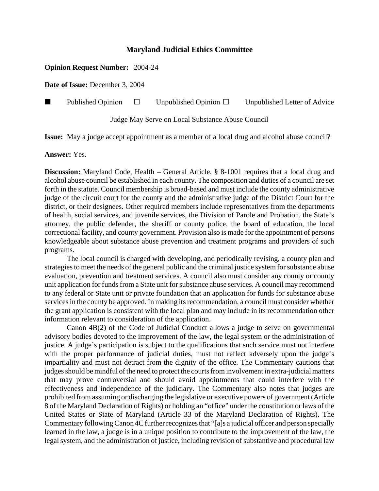## **Maryland Judicial Ethics Committee**

## **Opinion Request Number:** 2004-24

**Date of Issue:** December 3, 2004

**Published Opinion**  $\Box$  Unpublished Opinion  $\Box$  Unpublished Letter of Advice

Judge May Serve on Local Substance Abuse Council

**Issue:** May a judge accept appointment as a member of a local drug and alcohol abuse council?

**Answer:** Yes.

**Discussion:** Maryland Code, Health – General Article, § 8-1001 requires that a local drug and alcohol abuse council be established in each county. The composition and duties of a council are set forth in the statute. Council membership is broad-based and must include the county administrative judge of the circuit court for the county and the administrative judge of the District Court for the district, or their designees. Other required members include representatives from the departments of health, social services, and juvenile services, the Division of Parole and Probation, the State's attorney, the public defender, the sheriff or county police, the board of education, the local correctional facility, and county government. Provision also is made for the appointment of persons knowledgeable about substance abuse prevention and treatment programs and providers of such programs.

The local council is charged with developing, and periodically revising, a county plan and strategies to meet the needs of the general public and the criminal justice system for substance abuse evaluation, prevention and treatment services. A council also must consider any county or county unit application for funds from a State unit for substance abuse services. A council may recommend to any federal or State unit or private foundation that an application for funds for substance abuse services in the county be approved. In making its recommendation, a council must consider whether the grant application is consistent with the local plan and may include in its recommendation other information relevant to consideration of the application.

Canon 4B(2) of the Code of Judicial Conduct allows a judge to serve on governmental advisory bodies devoted to the improvement of the law, the legal system or the administration of justice. A judge's participation is subject to the qualifications that such service must not interfere with the proper performance of judicial duties, must not reflect adversely upon the judge's impartiality and must not detract from the dignity of the office. The Commentary cautions that judges should be mindful of the need to protect the courts from involvement in extra-judicial matters that may prove controversial and should avoid appointments that could interfere with the effectiveness and independence of the judiciary. The Commentary also notes that judges are prohibited from assuming or discharging the legislative or executive powers of government (Article 8 of the Maryland Declaration of Rights) or holding an "office" under the constitution or laws of the United States or State of Maryland (Article 33 of the Maryland Declaration of Rights). The Commentary following Canon 4C further recognizes that "[a]s a judicial officer and person specially learned in the law, a judge is in a unique position to contribute to the improvement of the law, the legal system, and the administration of justice, including revision of substantive and procedural law